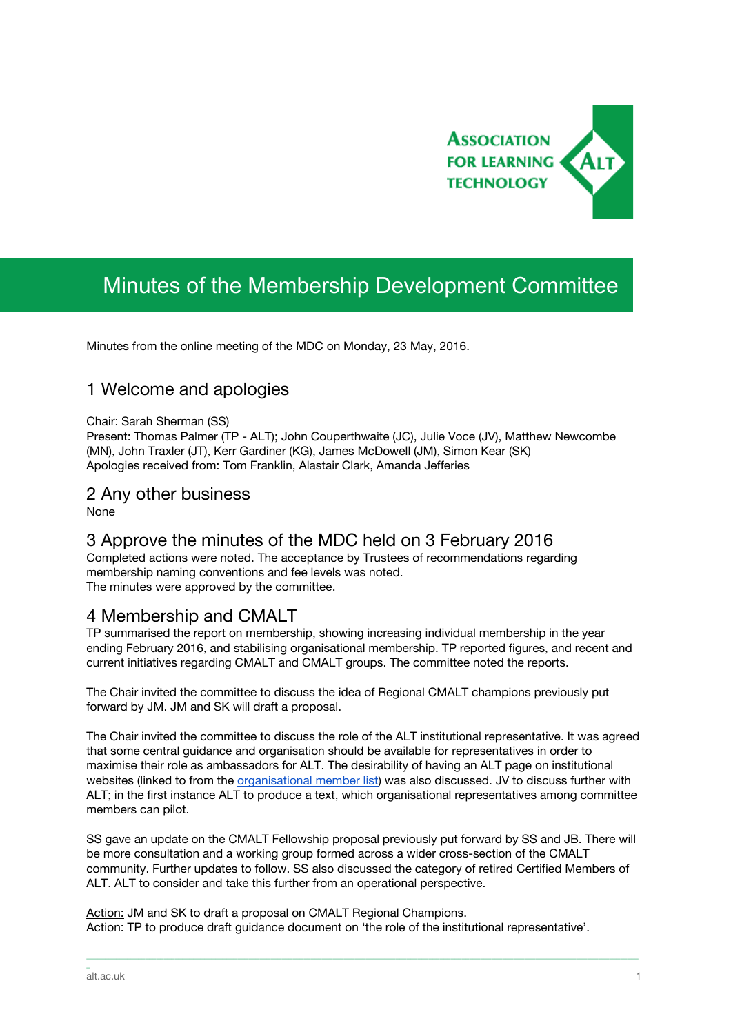

# Minutes of the Membership Development Committee

Minutes from the online meeting of the MDC on Monday, 23 May, 2016.

## 1 Welcome and apologies

#### Chair: Sarah Sherman (SS)

Present: Thomas Palmer (TP - ALT); John Couperthwaite (JC), Julie Voce (JV), Matthew Newcombe (MN), John Traxler (JT), Kerr Gardiner (KG), James McDowell (JM), Simon Kear (SK) Apologies received from: Tom Franklin, Alastair Clark, Amanda Jefferies

#### 2 Any other business

None

### 3 Approve the minutes of the MDC held on 3 February 2016

Completed actions were noted. The acceptance by Trustees of recommendations regarding membership naming conventions and fee levels was noted. The minutes were approved by the committee.

#### 4 Membership and CMALT

TP summarised the report on membership, showing increasing individual membership in the year ending February 2016, and stabilising organisational membership. TP reported figures, and recent and current initiatives regarding CMALT and CMALT groups. The committee noted the reports.

The Chair invited the committee to discuss the idea of Regional CMALT champions previously put forward by JM. JM and SK will draft a proposal.

The Chair invited the committee to discuss the role of the ALT institutional representative. It was agreed that some central guidance and organisation should be available for representatives in order to maximise their role as ambassadors for ALT. The desirability of having an ALT page on institutional websites (linked to from the [organisational](https://www.alt.ac.uk/membership/organisational-member-list) member list) was also discussed. JV to discuss further with ALT; in the first instance ALT to produce a text, which organisational representatives among committee members can pilot.

SS gave an update on the CMALT Fellowship proposal previously put forward by SS and JB. There will be more consultation and a working group formed across a wider cross-section of the CMALT community. Further updates to follow. SS also discussed the category of retired Certified Members of ALT. ALT to consider and take this further from an operational perspective.

\_\_\_\_\_\_\_\_\_\_\_\_\_\_\_\_\_\_\_\_\_\_\_\_\_\_\_\_\_\_\_\_\_\_\_\_\_\_\_\_\_\_\_\_\_\_\_\_\_\_\_\_\_\_\_\_\_\_\_\_\_\_\_\_\_\_\_\_\_\_\_\_\_\_\_\_\_\_\_\_\_\_\_\_\_\_\_\_\_\_\_\_\_\_\_\_\_\_\_\_\_\_\_\_\_\_\_\_\_\_\_\_\_\_\_\_\_\_\_\_\_\_\_\_\_\_\_\_\_\_\_\_\_\_\_\_\_\_\_\_\_\_\_\_\_\_\_\_\_\_

Action: JM and SK to draft a proposal on CMALT Regional Champions. Action: TP to produce draft guidance document on 'the role of the institutional representative'.

\_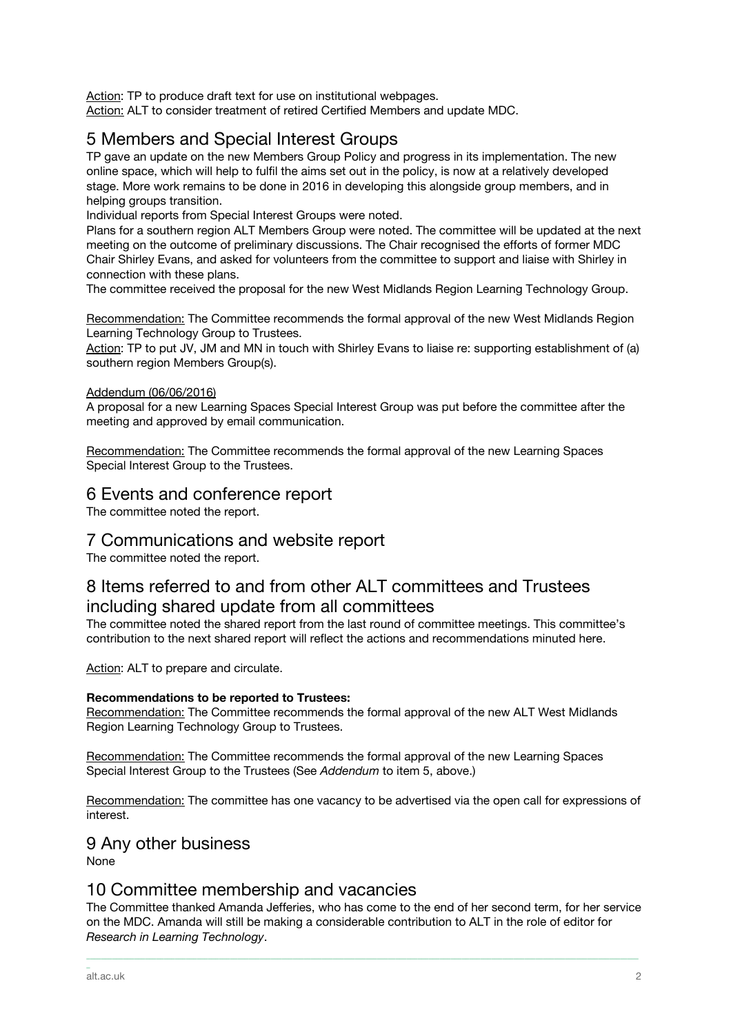Action: TP to produce draft text for use on institutional webpages. Action: ALT to consider treatment of retired Certified Members and update MDC.

## 5 Members and Special Interest Groups

TP gave an update on the new Members Group Policy and progress in its implementation. The new online space, which will help to fulfil the aims set out in the policy, is now at a relatively developed stage. More work remains to be done in 2016 in developing this alongside group members, and in helping groups transition.

Individual reports from Special Interest Groups were noted.

Plans for a southern region ALT Members Group were noted. The committee will be updated at the next meeting on the outcome of preliminary discussions. The Chair recognised the efforts of former MDC Chair Shirley Evans, and asked for volunteers from the committee to support and liaise with Shirley in connection with these plans.

The committee received the proposal for the new West Midlands Region Learning Technology Group.

Recommendation: The Committee recommends the formal approval of the new West Midlands Region Learning Technology Group to Trustees.

Action: TP to put JV, JM and MN in touch with Shirley Evans to liaise re: supporting establishment of (a) southern region Members Group(s).

#### Addendum (06/06/2016)

A proposal for a new Learning Spaces Special Interest Group was put before the committee after the meeting and approved by email communication.

Recommendation: The Committee recommends the formal approval of the new Learning Spaces Special Interest Group to the Trustees.

### 6 Events and conference report

The committee noted the report.

### 7 Communications and website report

The committee noted the report.

## 8 Items referred to and from other ALT committees and Trustees including shared update from all committees

The committee noted the shared report from the last round of committee meetings. This committee's contribution to the next shared report will reflect the actions and recommendations minuted here.

Action: ALT to prepare and circulate.

#### **Recommendations to be reported to Trustees:**

Recommendation: The Committee recommends the formal approval of the new ALT West Midlands Region Learning Technology Group to Trustees.

Recommendation: The Committee recommends the formal approval of the new Learning Spaces Special Interest Group to the Trustees (See *Addendum* to item 5, above.)

Recommendation: The committee has one vacancy to be advertised via the open call for expressions of interest.

### 9 Any other business

None

#### 10 Committee membership and vacancies

The Committee thanked Amanda Jefferies, who has come to the end of her second term, for her service on the MDC. Amanda will still be making a considerable contribution to ALT in the role of editor for *Research in Learning Technology*.

\_\_\_\_\_\_\_\_\_\_\_\_\_\_\_\_\_\_\_\_\_\_\_\_\_\_\_\_\_\_\_\_\_\_\_\_\_\_\_\_\_\_\_\_\_\_\_\_\_\_\_\_\_\_\_\_\_\_\_\_\_\_\_\_\_\_\_\_\_\_\_\_\_\_\_\_\_\_\_\_\_\_\_\_\_\_\_\_\_\_\_\_\_\_\_\_\_\_\_\_\_\_\_\_\_\_\_\_\_\_\_\_\_\_\_\_\_\_\_\_\_\_\_\_\_\_\_\_\_\_\_\_\_\_\_\_\_\_\_\_\_\_\_\_\_\_\_\_\_\_

\_